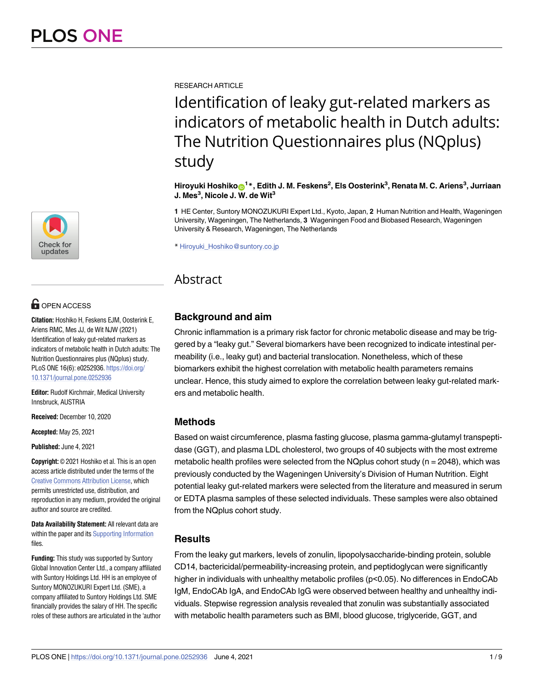[a1111111111](http://crossmark.crossref.org/dialog/?doi=10.1371/journal.pone.0252936&domain=pdf&date_stamp=2021-06-04) [a1111111111](http://crossmark.crossref.org/dialog/?doi=10.1371/journal.pone.0252936&domain=pdf&date_stamp=2021-06-04) [a1111111111](http://crossmark.crossref.org/dialog/?doi=10.1371/journal.pone.0252936&domain=pdf&date_stamp=2021-06-04) Check for updates

# **OPEN ACCESS**

**Citation:** Hoshiko H, Feskens EJM, Oosterink E, Ariens RMC, Mes JJ, de Wit NJW (2021) Identification of leaky gut-related markers as indicators of metabolic health in Dutch adults: The Nutrition Questionnaires plus (NQplus) study. PLoS ONE 16(6): e0252936. [https://doi.org/](https://doi.org/10.1371/journal.pone.0252936) [10.1371/journal.pone.0252936](https://doi.org/10.1371/journal.pone.0252936)

**Editor:** Rudolf Kirchmair, Medical University Innsbruck, AUSTRIA

**Received:** December 10, 2020

**Accepted:** May 25, 2021

**Published:** June 4, 2021

**Copyright:** © 2021 Hoshiko et al. This is an open access article distributed under the terms of the Creative Commons [Attribution](http://creativecommons.org/licenses/by/4.0/) License, which permits unrestricted use, distribution, and reproduction in any medium, provided the original author and source are credited.

**Data Availability Statement:** All relevant data are within the paper and its Supporting [Information](#page-7-0) files.

**Funding:** This study was supported by Suntory Global Innovation Center Ltd., a company affiliated with Suntory Holdings Ltd. HH is an employee of Suntory MONOZUKURI Expert Ltd. (SME), a company affiliated to Suntory Holdings Ltd. SME financially provides the salary of HH. The specific roles of these authors are articulated in the 'author

RESEARCH ARTICLE

# Identification of leaky gut-related markers as indicators of metabolic health in Dutch adults: The Nutrition Questionnaires plus (NQplus) study

Hiroyuki Hoshiko⊕<sup>1</sup> \*, Edith J. M. Feskens<sup>2</sup>, Els Oosterink<sup>3</sup>, Renata M. C. Ariens<sup>3</sup>, Jurriaan **J. Mes3 , Nicole J. W. de Wit3**

**1** HE Center, Suntory MONOZUKURI Expert Ltd., Kyoto, Japan, **2** Human Nutrition and Health, Wageningen University, Wageningen, The Netherlands, **3** Wageningen Food and Biobased Research, Wageningen University & Research, Wageningen, The Netherlands

\* Hiroyuki\_Hoshiko@suntory.co.jp

# Abstract

# **Background and aim**

Chronic inflammation is a primary risk factor for chronic metabolic disease and may be triggered by a "leaky gut." Several biomarkers have been recognized to indicate intestinal permeability (i.e., leaky gut) and bacterial translocation. Nonetheless, which of these biomarkers exhibit the highest correlation with metabolic health parameters remains unclear. Hence, this study aimed to explore the correlation between leaky gut-related markers and metabolic health.

# **Methods**

Based on waist circumference, plasma fasting glucose, plasma gamma-glutamyl transpeptidase (GGT), and plasma LDL cholesterol, two groups of 40 subjects with the most extreme metabolic health profiles were selected from the NQplus cohort study ( $n = 2048$ ), which was previously conducted by the Wageningen University's Division of Human Nutrition. Eight potential leaky gut-related markers were selected from the literature and measured in serum or EDTA plasma samples of these selected individuals. These samples were also obtained from the NQplus cohort study.

# **Results**

From the leaky gut markers, levels of zonulin, lipopolysaccharide-binding protein, soluble CD14, bactericidal/permeability-increasing protein, and peptidoglycan were significantly higher in individuals with unhealthy metabolic profiles (p<0.05). No differences in EndoCAb IgM, EndoCAb IgA, and EndoCAb IgG were observed between healthy and unhealthy individuals. Stepwise regression analysis revealed that zonulin was substantially associated with metabolic health parameters such as BMI, blood glucose, triglyceride, GGT, and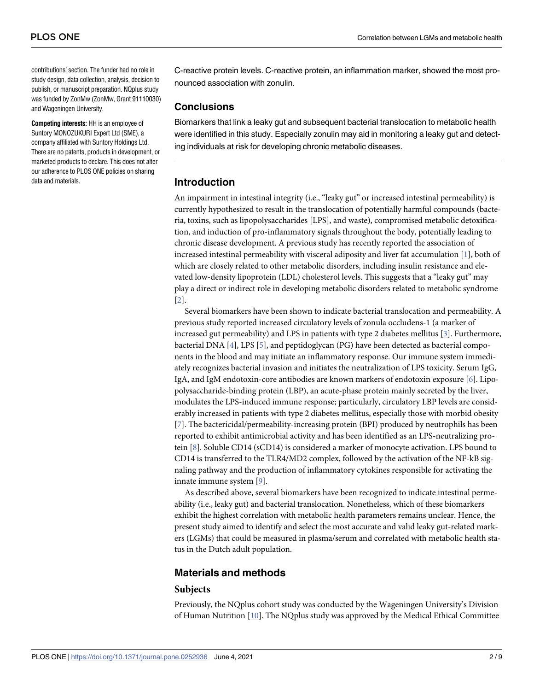<span id="page-1-0"></span>contributions' section. The funder had no role in study design, data collection, analysis, decision to publish, or manuscript preparation. NQplus study was funded by ZonMw (ZonMw, Grant 91110030) and Wageningen University.

**Competing interests:** HH is an employee of Suntory MONOZUKURI Expert Ltd (SME), a company affiliated with Suntory Holdings Ltd. There are no patents, products in development, or marketed products to declare. This does not alter our adherence to PLOS ONE policies on sharing data and materials.

C-reactive protein levels. C-reactive protein, an inflammation marker, showed the most pronounced association with zonulin.

# **Conclusions**

Biomarkers that link a leaky gut and subsequent bacterial translocation to metabolic health were identified in this study. Especially zonulin may aid in monitoring a leaky gut and detecting individuals at risk for developing chronic metabolic diseases.

# **Introduction**

An impairment in intestinal integrity (i.e., "leaky gut" or increased intestinal permeability) is currently hypothesized to result in the translocation of potentially harmful compounds (bacteria, toxins, such as lipopolysaccharides [LPS], and waste), compromised metabolic detoxification, and induction of pro-inflammatory signals throughout the body, potentially leading to chronic disease development. A previous study has recently reported the association of increased intestinal permeability with visceral adiposity and liver fat accumulation [[1\]](#page-7-0), both of which are closely related to other metabolic disorders, including insulin resistance and elevated low-density lipoprotein (LDL) cholesterol levels. This suggests that a "leaky gut" may play a direct or indirect role in developing metabolic disorders related to metabolic syndrome [\[2](#page-7-0)].

Several biomarkers have been shown to indicate bacterial translocation and permeability. A previous study reported increased circulatory levels of zonula occludens-1 (a marker of increased gut permeability) and LPS in patients with type 2 diabetes mellitus [\[3](#page-7-0)]. Furthermore, bacterial DNA [\[4](#page-7-0)], LPS [\[5](#page-7-0)], and peptidoglycan (PG) have been detected as bacterial components in the blood and may initiate an inflammatory response. Our immune system immediately recognizes bacterial invasion and initiates the neutralization of LPS toxicity. Serum IgG, IgA, and IgM endotoxin-core antibodies are known markers of endotoxin exposure [[6](#page-7-0)]. Lipopolysaccharide-binding protein (LBP), an acute-phase protein mainly secreted by the liver, modulates the LPS-induced immune response; particularly, circulatory LBP levels are considerably increased in patients with type 2 diabetes mellitus, especially those with morbid obesity [\[7](#page-7-0)]. The bactericidal/permeability-increasing protein (BPI) produced by neutrophils has been reported to exhibit antimicrobial activity and has been identified as an LPS-neutralizing protein [\[8\]](#page-8-0). Soluble CD14 (sCD14) is considered a marker of monocyte activation. LPS bound to CD14 is transferred to the TLR4/MD2 complex, followed by the activation of the NF-kB signaling pathway and the production of inflammatory cytokines responsible for activating the innate immune system [\[9](#page-8-0)].

As described above, several biomarkers have been recognized to indicate intestinal permeability (i.e., leaky gut) and bacterial translocation. Nonetheless, which of these biomarkers exhibit the highest correlation with metabolic health parameters remains unclear. Hence, the present study aimed to identify and select the most accurate and valid leaky gut-related markers (LGMs) that could be measured in plasma/serum and correlated with metabolic health status in the Dutch adult population.

# **Materials and methods**

#### **Subjects**

Previously, the NQplus cohort study was conducted by the Wageningen University's Division of Human Nutrition [\[10\]](#page-8-0). The NQplus study was approved by the Medical Ethical Committee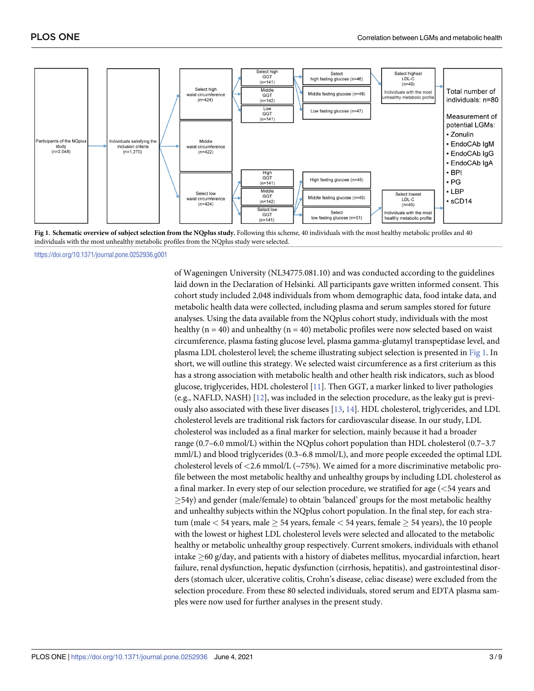<span id="page-2-0"></span>

Fig 1. Schematic overview of subject selection from the NQplus study. Following this scheme, 40 individuals with the most healthy metabolic profiles and 40 individuals with the most unhealthy metabolic profiles from the NQplus study were selected.

<https://doi.org/10.1371/journal.pone.0252936.g001>

of Wageningen University (NL34775.081.10) and was conducted according to the guidelines laid down in the Declaration of Helsinki. All participants gave written informed consent. This cohort study included 2,048 individuals from whom demographic data, food intake data, and metabolic health data were collected, including plasma and serum samples stored for future analyses. Using the data available from the NQplus cohort study, individuals with the most healthy ( $n = 40$ ) and unhealthy ( $n = 40$ ) metabolic profiles were now selected based on waist circumference, plasma fasting glucose level, plasma gamma-glutamyl transpeptidase level, and plasma LDL cholesterol level; the scheme illustrating subject selection is presented in Fig 1. In short, we will outline this strategy. We selected waist circumference as a first criterium as this has a strong association with metabolic health and other health risk indicators, such as blood glucose, triglycerides, HDL cholesterol [\[11\]](#page-8-0). Then GGT, a marker linked to liver pathologies (e.g., NAFLD, NASH) [[12](#page-8-0)], was included in the selection procedure, as the leaky gut is previously also associated with these liver diseases [[13](#page-8-0), [14](#page-8-0)]. HDL cholesterol, triglycerides, and LDL cholesterol levels are traditional risk factors for cardiovascular disease. In our study, LDL cholesterol was included as a final marker for selection, mainly because it had a broader range (0.7–6.0 mmol/L) within the NQplus cohort population than HDL cholesterol (0.7–3.7 mml/L) and blood triglycerides (0.3–6.8 mmol/L), and more people exceeded the optimal LDL cholesterol levels of *<*2.6 mmol/L (~75%). We aimed for a more discriminative metabolic profile between the most metabolic healthy and unhealthy groups by including LDL cholesterol as a final marker. In every step of our selection procedure, we stratified for age (*<*54 years and  $\geq$ 54y) and gender (male/female) to obtain 'balanced' groups for the most metabolic healthy and unhealthy subjects within the NQplus cohort population. In the final step, for each stratum (male  $<$  54 years, male  $\geq$  54 years, female  $<$  54 years, female  $\geq$  54 years), the 10 people with the lowest or highest LDL cholesterol levels were selected and allocated to the metabolic healthy or metabolic unhealthy group respectively. Current smokers, individuals with ethanol intake  $\geq$ 60 g/day, and patients with a history of diabetes mellitus, myocardial infarction, heart failure, renal dysfunction, hepatic dysfunction (cirrhosis, hepatitis), and gastrointestinal disorders (stomach ulcer, ulcerative colitis, Crohn's disease, celiac disease) were excluded from the selection procedure. From these 80 selected individuals, stored serum and EDTA plasma samples were now used for further analyses in the present study.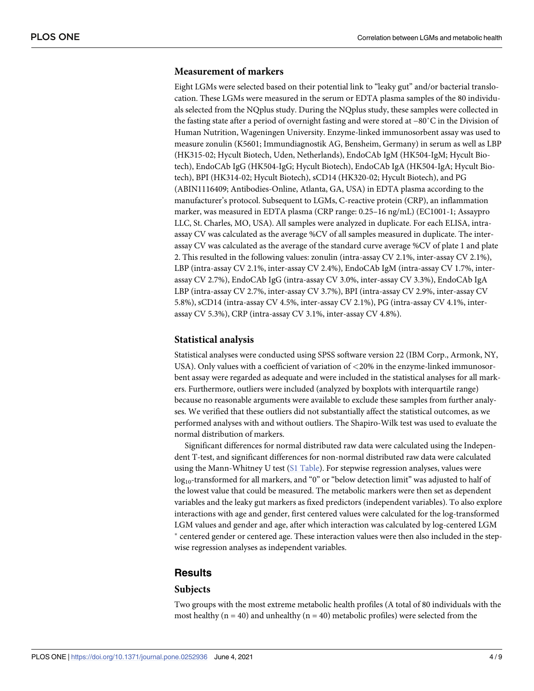# **Measurement of markers**

Eight LGMs were selected based on their potential link to "leaky gut" and/or bacterial translocation. These LGMs were measured in the serum or EDTA plasma samples of the 80 individuals selected from the NQplus study. During the NQplus study, these samples were collected in the fasting state after a period of overnight fasting and were stored at −80˚C in the Division of Human Nutrition, Wageningen University. Enzyme-linked immunosorbent assay was used to measure zonulin (K5601; Immundiagnostik AG, Bensheim, Germany) in serum as well as LBP (HK315-02; Hycult Biotech, Uden, Netherlands), EndoCAb IgM (HK504-IgM; Hycult Biotech), EndoCAb IgG (HK504-IgG; Hycult Biotech), EndoCAb IgA (HK504-IgA; Hycult Biotech), BPI (HK314-02; Hycult Biotech), sCD14 (HK320-02; Hycult Biotech), and PG (ABIN1116409; Antibodies-Online, Atlanta, GA, USA) in EDTA plasma according to the manufacturer's protocol. Subsequent to LGMs, C-reactive protein (CRP), an inflammation marker, was measured in EDTA plasma (CRP range: 0.25–16 ng/mL) (EC1001-1; Assaypro LLC, St. Charles, MO, USA). All samples were analyzed in duplicate. For each ELISA, intraassay CV was calculated as the average %CV of all samples measured in duplicate. The interassay CV was calculated as the average of the standard curve average %CV of plate 1 and plate 2. This resulted in the following values: zonulin (intra-assay CV 2.1%, inter-assay CV 2.1%), LBP (intra-assay CV 2.1%, inter-assay CV 2.4%), EndoCAb IgM (intra-assay CV 1.7%, interassay CV 2.7%), EndoCAb IgG (intra-assay CV 3.0%, inter-assay CV 3.3%), EndoCAb IgA LBP (intra-assay CV 2.7%, inter-assay CV 3.7%), BPI (intra-assay CV 2.9%, inter-assay CV 5.8%), sCD14 (intra-assay CV 4.5%, inter-assay CV 2.1%), PG (intra-assay CV 4.1%, interassay CV 5.3%), CRP (intra-assay CV 3.1%, inter-assay CV 4.8%).

#### **Statistical analysis**

Statistical analyses were conducted using SPSS software version 22 (IBM Corp., Armonk, NY, USA). Only values with a coefficient of variation of *<*20% in the enzyme-linked immunosorbent assay were regarded as adequate and were included in the statistical analyses for all markers. Furthermore, outliers were included (analyzed by boxplots with interquartile range) because no reasonable arguments were available to exclude these samples from further analyses. We verified that these outliers did not substantially affect the statistical outcomes, as we performed analyses with and without outliers. The Shapiro-Wilk test was used to evaluate the normal distribution of markers.

Significant differences for normal distributed raw data were calculated using the Independent T-test, and significant differences for non-normal distributed raw data were calculated using the Mann-Whitney U test  $(S1 Table)$  $(S1 Table)$  $(S1 Table)$ . For stepwise regression analyses, values were log<sub>10</sub>-transformed for all markers, and "0" or "below detection limit" was adjusted to half of the lowest value that could be measured. The metabolic markers were then set as dependent variables and the leaky gut markers as fixed predictors (independent variables). To also explore interactions with age and gender, first centered values were calculated for the log-transformed LGM values and gender and age, after which interaction was calculated by log-centered LGM � centered gender or centered age. These interaction values were then also included in the stepwise regression analyses as independent variables.

# **Results**

#### **Subjects**

Two groups with the most extreme metabolic health profiles (A total of 80 individuals with the most healthy ( $n = 40$ ) and unhealthy ( $n = 40$ ) metabolic profiles) were selected from the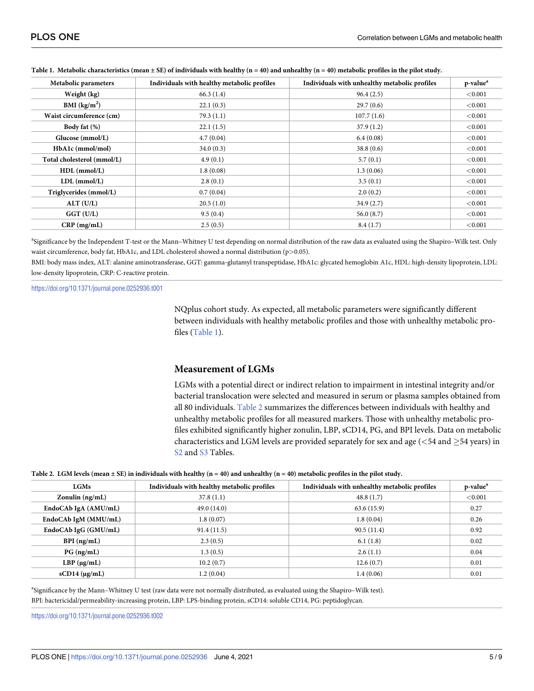| Metabolic parameters       | Individuals with healthy metabolic profiles | Individuals with unhealthy metabolic profiles | p-value <sup>a</sup> |
|----------------------------|---------------------------------------------|-----------------------------------------------|----------------------|
| Weight (kg)                | 66.3(1.4)                                   | 96.4(2.5)                                     | < 0.001              |
| BMI $(kg/m2)$              | 22.1(0.3)                                   | 29.7(0.6)                                     | < 0.001              |
| Waist circumference (cm)   | 79.3(1.1)                                   | 107.7(1.6)                                    | < 0.001              |
| Body fat (%)               | 22.1(1.5)                                   | 37.9(1.2)                                     | < 0.001              |
| Glucose (mmol/L)           | 4.7(0.04)                                   | 6.4(0.08)                                     | < 0.001              |
| HbA1c (mmol/mol)           | 34.0(0.3)                                   | 38.8(0.6)                                     | < 0.001              |
| Total cholesterol (mmol/L) | 4.9(0.1)                                    | 5.7(0.1)                                      | < 0.001              |
| $HDL$ (mmol/L)             | 1.8(0.08)                                   | 1.3(0.06)                                     | < 0.001              |
| $LDL$ (mmol/L)             | 2.8(0.1)                                    | 3.5(0.1)                                      | ${<}0.001$           |
| Triglycerides (mmol/L)     | 0.7(0.04)                                   | 2.0(0.2)                                      | < 0.001              |
| ALT (U/L)                  | 20.5(1.0)                                   | 34.9(2.7)                                     | < 0.001              |
| $GGT$ (U/L)                | 9.5(0.4)                                    | 56.0(8.7)                                     | ${<}0.001$           |
| $CRP$ (mg/mL)              | 2.5(0.5)                                    | 8.4(1.7)                                      | < 0.001              |

Table 1. Metabolic characteristics (mean  $\pm$  SE) of individuals with healthy (n = 40) and unhealthy (n = 40) metabolic profiles in the pilot study.

a Significance by the Independent T-test or the Mann–Whitney U test depending on normal distribution of the raw data as evaluated using the Shapiro–Wilk test. Only waist circumference, body fat, HbA1c, and LDL cholesterol showed a normal distribution (p*>*0.05).

BMI: body mass index, ALT: alanine aminotransferase, GGT: gamma-glutamyl transpeptidase, HbA1c: glycated hemoglobin A1c, HDL: high-density lipoprotein, LDL: low-density lipoprotein, CRP: C-reactive protein.

<https://doi.org/10.1371/journal.pone.0252936.t001>

NQplus cohort study. As expected, all metabolic parameters were significantly different between individuals with healthy metabolic profiles and those with unhealthy metabolic profiles (Table 1).

# **Measurement of LGMs**

LGMs with a potential direct or indirect relation to impairment in intestinal integrity and/or bacterial translocation were selected and measured in serum or plasma samples obtained from all 80 individuals. Table 2 summarizes the differences between individuals with healthy and unhealthy metabolic profiles for all measured markers. Those with unhealthy metabolic profiles exhibited significantly higher zonulin, LBP, sCD14, PG, and BPI levels. Data on metabolic characteristics and LGM levels are provided separately for sex and age (<54 and  $\geq$ 54 years) in [S2](#page-7-0) and [S3](#page-7-0) Tables.

| <b>LGMs</b>           | Individuals with healthy metabolic profiles | Individuals with unhealthy metabolic profiles | p-value <sup>a</sup> |
|-----------------------|---------------------------------------------|-----------------------------------------------|----------------------|
| Zonulin $(ng/mL)$     | 37.8(1.1)                                   | 48.8(1.7)                                     | < 0.001              |
| EndoCAb IgA (AMU/mL)  | 49.0(14.0)                                  | 63.6(15.9)                                    | 0.27                 |
| EndoCAb IgM (MMU/mL)  | 1.8(0.07)                                   | 1.8(0.04)                                     | 0.26                 |
| EndoCAb IgG (GMU/mL)  | 91.4(11.5)                                  | 90.5(11.4)                                    | 0.92                 |
| $BPI$ (ng/mL)         | 2.3(0.5)                                    | 6.1(1.8)                                      | 0.02                 |
| $PG$ (ng/mL)          | 1.3(0.5)                                    | 2.6(1.1)                                      | 0.04                 |
| $LBP$ ( $\mu$ g/mL)   | 10.2(0.7)                                   | 12.6(0.7)                                     | 0.01                 |
| $sCD14$ ( $\mu$ g/mL) | 1.2(0.04)                                   | 1.4(0.06)                                     | 0.01                 |

a Significance by the Mann–Whitney U test (raw data were not normally distributed, as evaluated using the Shapiro–Wilk test). BPI: bactericidal/permeability-increasing protein, LBP: LPS-binding protein, sCD14: soluble CD14, PG: peptidoglycan.

<https://doi.org/10.1371/journal.pone.0252936.t002>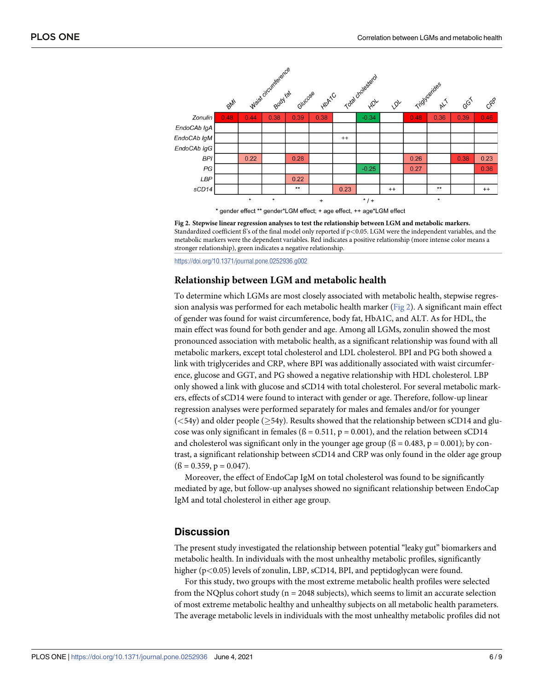

**Fig 2. Stepwise linear regression analyses to test the relationship between LGM and metabolic markers.** Standardized coefficient ß's of the final model only reported if p*<*0.05. LGM were the independent variables, and the metabolic markers were the dependent variables. Red indicates a positive relationship (more intense color means a stronger relationship), green indicates a negative relationship.

<https://doi.org/10.1371/journal.pone.0252936.g002>

# **Relationship between LGM and metabolic health**

To determine which LGMs are most closely associated with metabolic health, stepwise regression analysis was performed for each metabolic health marker (Fig 2). A significant main effect of gender was found for waist circumference, body fat, HbA1C, and ALT. As for HDL, the main effect was found for both gender and age. Among all LGMs, zonulin showed the most pronounced association with metabolic health, as a significant relationship was found with all metabolic markers, except total cholesterol and LDL cholesterol. BPI and PG both showed a link with triglycerides and CRP, where BPI was additionally associated with waist circumference, glucose and GGT, and PG showed a negative relationship with HDL cholesterol. LBP only showed a link with glucose and sCD14 with total cholesterol. For several metabolic markers, effects of sCD14 were found to interact with gender or age. Therefore, follow-up linear regression analyses were performed separately for males and females and/or for younger  $( $54y$ )$  and older people ( $>54y$ ). Results showed that the relationship between sCD14 and glucose was only significant in females ( $\beta = 0.511$ ,  $p = 0.001$ ), and the relation between sCD14 and cholesterol was significant only in the younger age group  $(6 = 0.483, p = 0.001)$ ; by contrast, a significant relationship between sCD14 and CRP was only found in the older age group  $($ ß = 0.359, p = 0.047).

Moreover, the effect of EndoCap IgM on total cholesterol was found to be significantly mediated by age, but follow-up analyses showed no significant relationship between EndoCap IgM and total cholesterol in either age group.

# **Discussion**

The present study investigated the relationship between potential "leaky gut" biomarkers and metabolic health. In individuals with the most unhealthy metabolic profiles, significantly higher (p*<*0.05) levels of zonulin, LBP, sCD14, BPI, and peptidoglycan were found.

For this study, two groups with the most extreme metabolic health profiles were selected from the NQplus cohort study ( $n = 2048$  subjects), which seems to limit an accurate selection of most extreme metabolic healthy and unhealthy subjects on all metabolic health parameters. The average metabolic levels in individuals with the most unhealthy metabolic profiles did not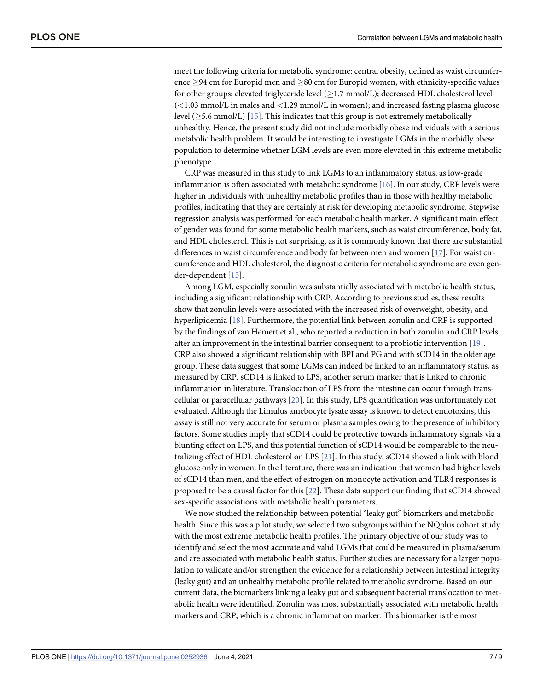<span id="page-6-0"></span>meet the following criteria for metabolic syndrome: central obesity, defined as waist circumference  $\geq$ 94 cm for Europid men and  $\geq$ 80 cm for Europid women, with ethnicity-specific values for other groups; elevated triglyceride level  $(>1.7 \text{ mmol/L})$ ; decreased HDL cholesterol level (*<*1.03 mmol/L in males and *<*1.29 mmol/L in women); and increased fasting plasma glucose level  $(>=5.6 \text{ mmol/L})$  [[15](#page-8-0)]. This indicates that this group is not extremely metabolically unhealthy. Hence, the present study did not include morbidly obese individuals with a serious metabolic health problem. It would be interesting to investigate LGMs in the morbidly obese population to determine whether LGM levels are even more elevated in this extreme metabolic phenotype.

CRP was measured in this study to link LGMs to an inflammatory status, as low-grade inflammation is often associated with metabolic syndrome [\[16\]](#page-8-0). In our study, CRP levels were higher in individuals with unhealthy metabolic profiles than in those with healthy metabolic profiles, indicating that they are certainly at risk for developing metabolic syndrome. Stepwise regression analysis was performed for each metabolic health marker. A significant main effect of gender was found for some metabolic health markers, such as waist circumference, body fat, and HDL cholesterol. This is not surprising, as it is commonly known that there are substantial differences in waist circumference and body fat between men and women [\[17\]](#page-8-0). For waist circumference and HDL cholesterol, the diagnostic criteria for metabolic syndrome are even gender-dependent [[15](#page-8-0)].

Among LGM, especially zonulin was substantially associated with metabolic health status, including a significant relationship with CRP. According to previous studies, these results show that zonulin levels were associated with the increased risk of overweight, obesity, and hyperlipidemia [\[18\]](#page-8-0). Furthermore, the potential link between zonulin and CRP is supported by the findings of van Hemert et al., who reported a reduction in both zonulin and CRP levels after an improvement in the intestinal barrier consequent to a probiotic intervention [[19](#page-8-0)]. CRP also showed a significant relationship with BPI and PG and with sCD14 in the older age group. These data suggest that some LGMs can indeed be linked to an inflammatory status, as measured by CRP. sCD14 is linked to LPS, another serum marker that is linked to chronic inflammation in literature. Translocation of LPS from the intestine can occur through transcellular or paracellular pathways [\[20\]](#page-8-0). In this study, LPS quantification was unfortunately not evaluated. Although the Limulus amebocyte lysate assay is known to detect endotoxins, this assay is still not very accurate for serum or plasma samples owing to the presence of inhibitory factors. Some studies imply that sCD14 could be protective towards inflammatory signals via a blunting effect on LPS, and this potential function of sCD14 would be comparable to the neutralizing effect of HDL cholesterol on LPS [\[21\]](#page-8-0). In this study, sCD14 showed a link with blood glucose only in women. In the literature, there was an indication that women had higher levels of sCD14 than men, and the effect of estrogen on monocyte activation and TLR4 responses is proposed to be a causal factor for this [[22](#page-8-0)]. These data support our finding that sCD14 showed sex-specific associations with metabolic health parameters.

We now studied the relationship between potential "leaky gut" biomarkers and metabolic health. Since this was a pilot study, we selected two subgroups within the NQplus cohort study with the most extreme metabolic health profiles. The primary objective of our study was to identify and select the most accurate and valid LGMs that could be measured in plasma/serum and are associated with metabolic health status. Further studies are necessary for a larger population to validate and/or strengthen the evidence for a relationship between intestinal integrity (leaky gut) and an unhealthy metabolic profile related to metabolic syndrome. Based on our current data, the biomarkers linking a leaky gut and subsequent bacterial translocation to metabolic health were identified. Zonulin was most substantially associated with metabolic health markers and CRP, which is a chronic inflammation marker. This biomarker is the most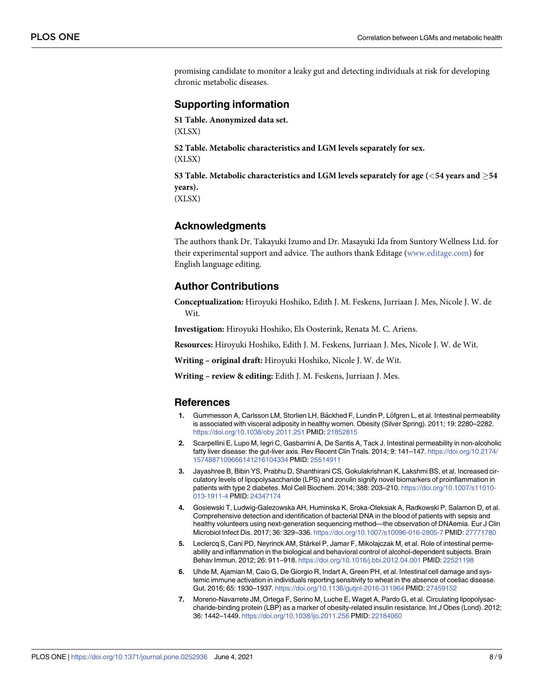<span id="page-7-0"></span>promising candidate to monitor a leaky gut and detecting individuals at risk for developing chronic metabolic diseases.

# **Supporting information**

**S1 [Table.](http://www.plosone.org/article/fetchSingleRepresentation.action?uri=info:doi/10.1371/journal.pone.0252936.s001) Anonymized data set.** (XLSX)

**S2 [Table.](http://www.plosone.org/article/fetchSingleRepresentation.action?uri=info:doi/10.1371/journal.pone.0252936.s002) Metabolic characteristics and LGM levels separately for sex.** (XLSX)

**S3 [Table.](http://www.plosone.org/article/fetchSingleRepresentation.action?uri=info:doi/10.1371/journal.pone.0252936.s003) Metabolic characteristics and LGM levels separately for age (***<***54 years and** �**54 years).** (XLSX)

# **Acknowledgments**

The authors thank Dr. Takayuki Izumo and Dr. Masayuki Ida from Suntory Wellness Ltd. for their experimental support and advice. The authors thank Editage ([www.editage.com\)](http://www.editage.com/) for English language editing.

# **Author Contributions**

**Conceptualization:** Hiroyuki Hoshiko, Edith J. M. Feskens, Jurriaan J. Mes, Nicole J. W. de Wit.

**Investigation:** Hiroyuki Hoshiko, Els Oosterink, Renata M. C. Ariens.

**Resources:** Hiroyuki Hoshiko, Edith J. M. Feskens, Jurriaan J. Mes, Nicole J. W. de Wit.

**Writing – original draft:** Hiroyuki Hoshiko, Nicole J. W. de Wit.

**Writing – review & editing:** Edith J. M. Feskens, Jurriaan J. Mes.

#### **References**

- **[1](#page-1-0).** Gummesson A, Carlsson LM, Storlien LH, Bäckhed F, Lundin P, Löfgren L, et al. Intestinal permeability is associated with visceral adiposity in healthy women. Obesity (Silver Spring). 2011; 19: 2280–2282. <https://doi.org/10.1038/oby.2011.251> PMID: [21852815](http://www.ncbi.nlm.nih.gov/pubmed/21852815)
- **[2](#page-1-0).** Scarpellini E, Lupo M, Iegri C, Gasbarrini A, De Santis A, Tack J. Intestinal permeability in non-alcoholic fatty liver disease: the gut-liver axis. Rev Recent Clin Trials. 2014; 9: 141–147. [https://doi.org/10.2174/](https://doi.org/10.2174/1574887109666141216104334) [1574887109666141216104334](https://doi.org/10.2174/1574887109666141216104334) PMID: [25514911](http://www.ncbi.nlm.nih.gov/pubmed/25514911)
- **[3](#page-1-0).** Jayashree B, Bibin YS, Prabhu D, Shanthirani CS, Gokulakrishnan K, Lakshmi BS, et al. Increased circulatory levels of lipopolysaccharide (LPS) and zonulin signify novel biomarkers of proinflammation in patients with type 2 diabetes. Mol Cell Biochem. 2014; 388: 203–210. [https://doi.org/10.1007/s11010-](https://doi.org/10.1007/s11010-013-1911-4) [013-1911-4](https://doi.org/10.1007/s11010-013-1911-4) PMID: [24347174](http://www.ncbi.nlm.nih.gov/pubmed/24347174)
- **[4](#page-1-0).** Gosiewski T, Ludwig-Galezowska AH, Huminska K, Sroka-Oleksiak A, Radkowski P, Salamon D, et al. Comprehensive detection and identification of bacterial DNA in the blood of patients with sepsis and healthy volunteers using next-generation sequencing method—the observation of DNAemia. Eur J Clin Microbiol Infect Dis. 2017; 36: 329–336. <https://doi.org/10.1007/s10096-016-2805-7> PMID: [27771780](http://www.ncbi.nlm.nih.gov/pubmed/27771780)
- **[5](#page-1-0).** Leclercq S, Cani PD, Neyrinck AM, Stärkel P, Jamar F, Mikolajczak M, et al. Role of intestinal permeability and inflammation in the biological and behavioral control of alcohol-dependent subjects. Brain Behav Immun. 2012; 26: 911–918. <https://doi.org/10.1016/j.bbi.2012.04.001> PMID: [22521198](http://www.ncbi.nlm.nih.gov/pubmed/22521198)
- **[6](#page-1-0).** Uhde M, Ajamian M, Caio G, De Giorgio R, Indart A, Green PH, et al. Intestinal cell damage and systemic immune activation in individuals reporting sensitivity to wheat in the absence of coeliac disease. Gut. 2016; 65: 1930–1937. <https://doi.org/10.1136/gutjnl-2016-311964> PMID: [27459152](http://www.ncbi.nlm.nih.gov/pubmed/27459152)
- **[7](#page-1-0).** Moreno-Navarrete JM, Ortega F, Serino M, Luche E, Waget A, Pardo G, et al. Circulating lipopolysaccharide-binding protein (LBP) as a marker of obesity-related insulin resistance. Int J Obes (Lond). 2012; 36: 1442–1449. <https://doi.org/10.1038/ijo.2011.256> PMID: [22184060](http://www.ncbi.nlm.nih.gov/pubmed/22184060)